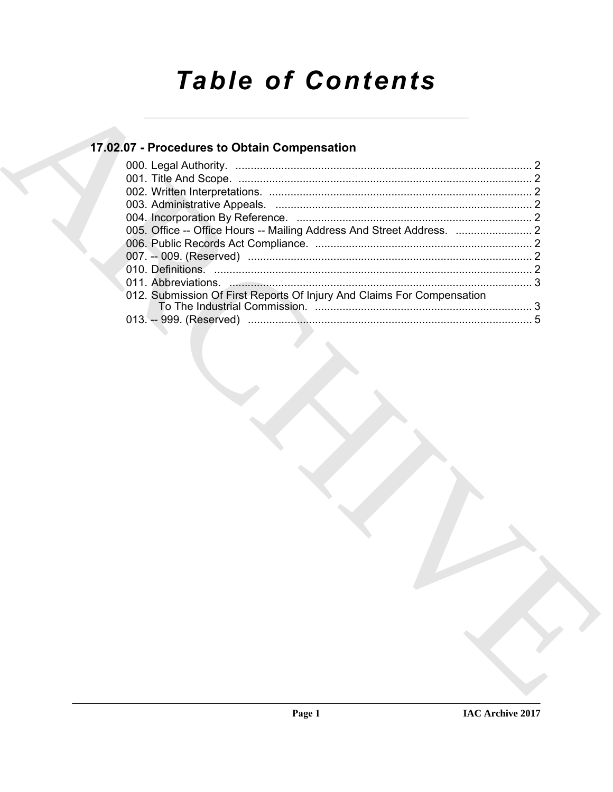# **Table of Contents**

## 17.02.07 - Procedures to Obtain Compensation

| 012. Submission Of First Reports Of Injury And Claims For Compensation |  |
|------------------------------------------------------------------------|--|
|                                                                        |  |
|                                                                        |  |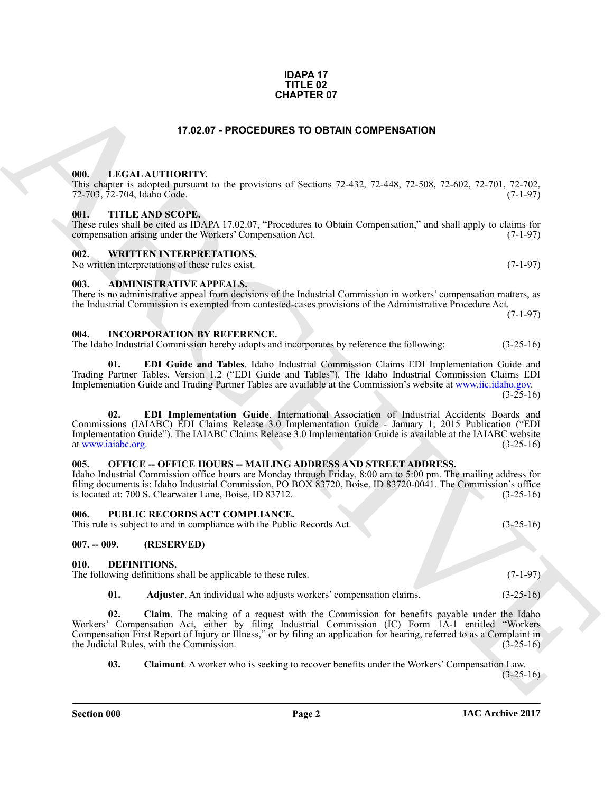### **Section 000 Page 2**

#### **IDAPA 17 TITLE 02 CHAPTER 07**

#### **17.02.07 - PROCEDURES TO OBTAIN COMPENSATION**

#### <span id="page-1-1"></span><span id="page-1-0"></span>**000. LEGAL AUTHORITY.**

This chapter is adopted pursuant to the provisions of Sections 72-432, 72-448, 72-508, 72-602, 72-701, 72-702, 72-703, 72-704, Idaho Code. (7-1-97)

#### <span id="page-1-2"></span>**001. TITLE AND SCOPE.**

These rules shall be cited as IDAPA 17.02.07, "Procedures to Obtain Compensation," and shall apply to claims for compensation arising under the Workers' Compensation Act. (7-1-97)

#### <span id="page-1-3"></span>**002. WRITTEN INTERPRETATIONS.**

No written interpretations of these rules exist. (7-1-97)

#### <span id="page-1-4"></span>**003. ADMINISTRATIVE APPEALS.**

There is no administrative appeal from decisions of the Industrial Commission in workers' compensation matters, as the Industrial Commission is exempted from contested-cases provisions of the Administrative Procedure Act.

<span id="page-1-14"></span><span id="page-1-5"></span>**004. INCORPORATION BY REFERENCE.** The Idaho Industrial Commission hereby adopts and incorporates by reference the following: (3-25-16)

<span id="page-1-16"></span><span id="page-1-15"></span>**01. EDI Guide and Tables**. Idaho Industrial Commission Claims EDI Implementation Guide and Trading Partner Tables, Version 1.2 ("EDI Guide and Tables"). The Idaho Industrial Commission Claims EDI Implementation Guide and Trading Partner Tables are available at the Commission's website at www.iic.idaho.gov.  $(3-25-16)$ 

**CHAPTER OF**<br>
17.82.07 - **PROCEDURES TO OFTAIN COMPENSATION**<br>
1980, LEGAL AUTIONITY on the provisions of Societies 22.422, 22.448, 72.506, 72.602, 72.701, 72.702,<br>
1980, ATTHE ANS SCOPE.<br>
1980, ATTHE ANS SCOPE.<br>
1980, ATT **02. EDI Implementation Guide**. International Association of Industrial Accidents Boards and Commissions (IAIABC) EDI Claims Release 3.0 Implementation Guide - January 1, 2015 Publication ("EDI Implementation Guide"). The IAIABC Claims Release 3.0 Implementation Guide is available at the IAIABC website at www.jaiabc.org. (3-25-16) at www.iaiabc.org.

#### <span id="page-1-17"></span><span id="page-1-6"></span>**005. OFFICE -- OFFICE HOURS -- MAILING ADDRESS AND STREET ADDRESS.**

Idaho Industrial Commission office hours are Monday through Friday, 8:00 am to 5:00 pm. The mailing address for filing documents is: Idaho Industrial Commission, PO BOX 83720, Boise, ID 83720-0041. The Commission's office is located at: 700 S. Clearwater Lane, Boise, ID 83712. is located at: 700 S. Clearwater Lane, Boise, ID 83712.

#### <span id="page-1-7"></span>**006. PUBLIC RECORDS ACT COMPLIANCE.**

This rule is subject to and in compliance with the Public Records Act. (3-25-16)

#### <span id="page-1-8"></span>**007. -- 009. (RESERVED)**

#### <span id="page-1-10"></span><span id="page-1-9"></span>**010. DEFINITIONS.**

The following definitions shall be applicable to these rules. (7-1-97)

<span id="page-1-12"></span><span id="page-1-11"></span>**01. Adjuster**. An individual who adjusts workers' compensation claims. (3-25-16)

**02. Claim**. The making of a request with the Commission for benefits payable under the Idaho Workers' Compensation Act, either by filing Industrial Commission (IC) Form 1A-1 entitled "Workers Compensation First Report of Injury or Illness," or by filing an application for hearing, referred to as a Complaint in the Judicial Rules, with the Commission. (3-25-16) the Judicial Rules, with the Commission.

<span id="page-1-13"></span>**03. Claimant**. A worker who is seeking to recover benefits under the Workers' Compensation Law.

 $(3-25-16)$ 



(7-1-97)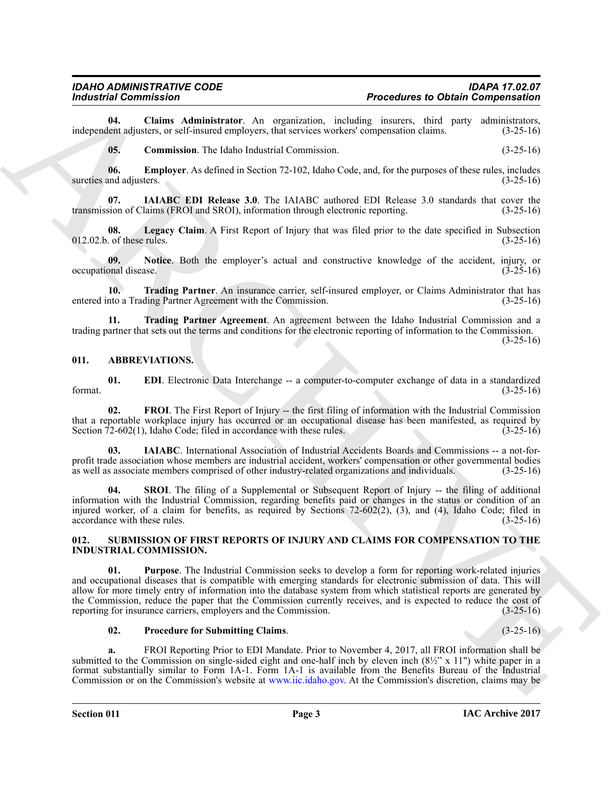**04.** Claims Administrator. An organization, including insurers, third party administrators, lent adjusters, or self-insured employers, that services workers' compensation claims. (3-25-16) independent adjusters, or self-insured employers, that services workers' compensation claims.

<span id="page-2-10"></span><span id="page-2-9"></span><span id="page-2-8"></span><span id="page-2-7"></span>**05. Commission**. The Idaho Industrial Commission. (3-25-16)

**06. Employer**. As defined in Section 72-102, Idaho Code, and, for the purposes of these rules, includes and adjusters. (3-25-16) sureties and adjusters.

**07. IAIABC EDI Release 3.0**. The IAIABC authored EDI Release 3.0 standards that cover the transmission of Claims (FROI and SROI), information through electronic reporting. (3-25-16)

<span id="page-2-11"></span>**08.** Legacy Claim. A First Report of Injury that was filed prior to the date specified in Subsection of these rules. (3-25-16)  $012.02.b.$  of these rules.

<span id="page-2-12"></span>**09.** Notice. Both the employer's actual and constructive knowledge of the accident, injury, or onal disease. (3-25-16) occupational disease.

<span id="page-2-13"></span>**10. Trading Partner**. An insurance carrier, self-insured employer, or Claims Administrator that has entered into a Trading Partner Agreement with the Commission. (3-25-16)

<span id="page-2-14"></span>**11. Trading Partner Agreement**. An agreement between the Idaho Industrial Commission and a trading partner that sets out the terms and conditions for the electronic reporting of information to the Commission.  $(3-25-16)$ 

#### <span id="page-2-2"></span><span id="page-2-0"></span>**011. ABBREVIATIONS.**

<span id="page-2-3"></span>**01. EDI**. Electronic Data Interchange -- a computer-to-computer exchange of data in a standardized (3-25-16) format.  $(3-25-16)$ 

<span id="page-2-4"></span>02. FROI. The First Report of Injury -- the first filing of information with the Industrial Commission that a reportable workplace injury has occurred or an occupational disease has been manifested, as required by<br>Section 72-602(1), Idaho Code; filed in accordance with these rules. (3-25-16) Section  $72-602(1)$ , Idaho Code; filed in accordance with these rules.

<span id="page-2-5"></span>**03. IAIABC**. International Association of Industrial Accidents Boards and Commissions -- a not-forprofit trade association whose members are industrial accident, workers' compensation or other governmental bodies as well as associate members comprised of other industry-related organizations and individuals. (3-25-16) as well as associate members comprised of other industry-related organizations and individuals.

<span id="page-2-6"></span>**04. SROI**. The filing of a Supplemental or Subsequent Report of Injury -- the filing of additional information with the Industrial Commission, regarding benefits paid or changes in the status or condition of an injured worker, of a claim for benefits, as required by Sections 72-602(2), (3), and (4), Idaho Code; filed in accordance with these rules.  $(3-25-16)$ accordance with these rules.

#### <span id="page-2-17"></span><span id="page-2-15"></span><span id="page-2-1"></span>**012. SUBMISSION OF FIRST REPORTS OF INJURY AND CLAIMS FOR COMPENSATION TO THE INDUSTRIAL COMMISSION.**

For the Chain and Commission Commission (and the Chain and the Chain and the Chain and the Chain and the Chain and the Chain and the Chain and the Chain and the Chain and the Chain and the Chain and the Chain and the Chai **01. Purpose**. The Industrial Commission seeks to develop a form for reporting work-related injuries and occupational diseases that is compatible with emerging standards for electronic submission of data. This will allow for more timely entry of information into the database system from which statistical reports are generated by the Commission, reduce the paper that the Commission currently receives, and is expected to reduce the cost of reporting for insurance carriers, employers and the Commission. (3-25-16) reporting for insurance carriers, employers and the Commission.

#### <span id="page-2-16"></span>**02. Procedure for Submitting Claims**. (3-25-16)

**a.** FROI Reporting Prior to EDI Mandate. Prior to November 4, 2017, all FROI information shall be submitted to the Commission on single-sided eight and one-half inch by eleven inch  $(8\frac{1}{2}$ " x 11") white paper in a format substantially similar to Form 1A-1. Form 1A-1 is available from the Benefits Bureau of the Industrial Commission or on the Commission's website at www.iic.idaho.gov. At the Commission's discretion, claims may be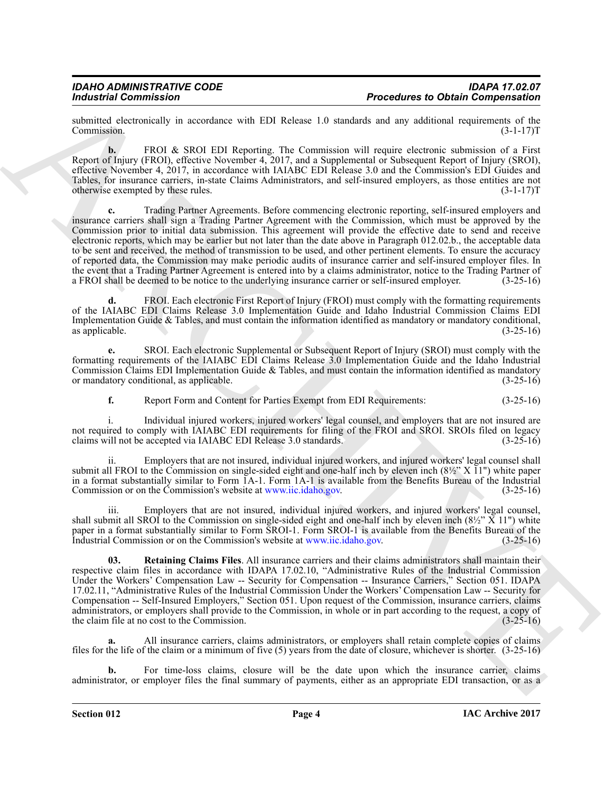submitted electronically in accordance with EDI Release 1.0 standards and any additional requirements of the Commission. (3-1-17) Commission. (3-1-17)T

**b.** FROI & SROI EDI Reporting. The Commission will require electronic submission of a First Report of Injury (FROI), effective November 4, 2017, and a Supplemental or Subsequent Report of Injury (SROI), effective November 4, 2017, in accordance with IAIABC EDI Release 3.0 and the Commission's EDI Guides and Tables, for insurance carriers, in-state Claims Administrators, and self-insured employers, as those entities are not otherwise exempted by these rules. (3-1-17)T

From the commission<br>
and the state of the state of the Ball Kolans 19 state and any detection of the first of the state of the state of the state of the state of the state of the state of the state of the state of the sta **c.** Trading Partner Agreements. Before commencing electronic reporting, self-insured employers and insurance carriers shall sign a Trading Partner Agreement with the Commission, which must be approved by the Commission prior to initial data submission. This agreement will provide the effective date to send and receive electronic reports, which may be earlier but not later than the date above in Paragraph 012.02.b., the acceptable data to be sent and received, the method of transmission to be used, and other pertinent elements. To ensure the accuracy of reported data, the Commission may make periodic audits of insurance carrier and self-insured employer files. In the event that a Trading Partner Agreement is entered into by a claims administrator, notice to the Trading Partner of a FROI shall be deemed to be notice to the underlying insurance carrier or self-insured employer. (3-25 a FROI shall be deemed to be notice to the underlying insurance carrier or self-insured employer.

**d.** FROI. Each electronic First Report of Injury (FROI) must comply with the formatting requirements of the IAIABC EDI Claims Release 3.0 Implementation Guide and Idaho Industrial Commission Claims EDI Implementation Guide & Tables, and must contain the information identified as mandatory or mandatory conditional, as applicable.  $(3-25-16)$ 

**e.** SROI. Each electronic Supplemental or Subsequent Report of Injury (SROI) must comply with the formatting requirements of the IAIABC EDI Claims Release 3.0 Implementation Guide and the Idaho Industrial Commission Claims EDI Implementation Guide & Tables, and must contain the information identified as mandatory or mandatory conditional, as applicable. (3-25-16) or mandatory conditional, as applicable.

**f.** Report Form and Content for Parties Exempt from EDI Requirements:  $(3-25-16)$ 

i. Individual injured workers, injured workers' legal counsel, and employers that are not insured are not required to comply with IAIABC EDI requirements for filing of the FROI and SROI. SROIs filed on legacy claims will not be accepted via IAIABC EDI Release 3.0 standards. (3-25-16) claims will not be accepted via IAIABC EDI Release 3.0 standards.

ii. Employers that are not insured, individual injured workers, and injured workers' legal counsel shall submit all FROI to the Commission on single-sided eight and one-half inch by eleven inch  $(8\frac{1}{2}$ " X  $\bar{1}$ 1") white paper in a format substantially similar to Form 1A-1. Form 1A-1 is available from the Benefits Bureau of the Industrial Commission or on the Commission's website at www.iic.idaho.gov. (3-25-16) Commission or on the Commission's website at www.iic.idaho.gov.

iii. Employers that are not insured, individual injured workers, and injured workers' legal counsel, shall submit all SROI to the Commission on single-sided eight and one-half inch by eleven inch  $(8\frac{1}{2}$ "  $\bar{X}$  11") white paper in a format substantially similar to Form SROI-1. Form SROI-1 is available from the Benefits Bureau of the Industrial Commission or on the Commission's website at www.iic.idaho.gov. (3-25-16)

<span id="page-3-0"></span>**03. Retaining Claims Files**. All insurance carriers and their claims administrators shall maintain their respective claim files in accordance with IDAPA 17.02.10, "Administrative Rules of the Industrial Commission Under the Workers' Compensation Law -- Security for Compensation -- Insurance Carriers," Section 051. IDAPA 17.02.11, "Administrative Rules of the Industrial Commission Under the Workers' Compensation Law -- Security for Compensation -- Self-Insured Employers," Section 051. Upon request of the Commission, insurance carriers, claims administrators, or employers shall provide to the Commission, in whole or in part according to the request, a copy of the claim file at no cost to the Commission.  $(3-25-16)$ 

**a.** All insurance carriers, claims administrators, or employers shall retain complete copies of claims files for the life of the claim or a minimum of five (5) years from the date of closure, whichever is shorter. (3-25-16)

**b.** For time-loss claims, closure will be the date upon which the insurance carrier, claims administrator, or employer files the final summary of payments, either as an appropriate EDI transaction, or as a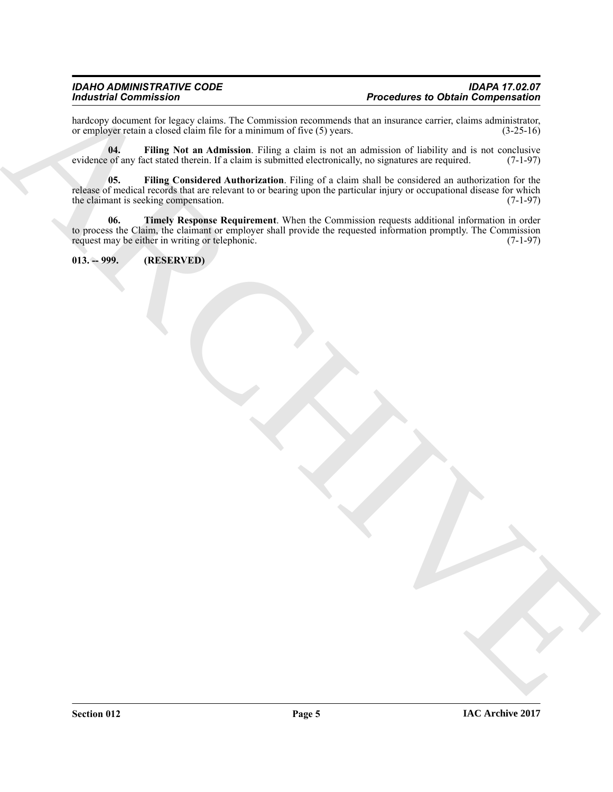hardcopy document for legacy claims. The Commission recommends that an insurance carrier, claims administrator, or employer retain a closed claim file for a minimum of five (5) years. (3-25-16) or employer retain a closed claim file for a minimum of five (5) years.

<span id="page-4-2"></span><span id="page-4-1"></span>**04.** Filing Not an Admission. Filing a claim is not an admission of liability and is not conclusive of any fact stated therein. If a claim is submitted electronically, no signatures are required. (7-1-97) evidence of any fact stated therein. If a claim is submitted electronically, no signatures are required.

For the control of the state of the control of the control of the control of the state of the state of the state of the state of the state of the state of the state of the state of the state of the state of the state of t **05. Filing Considered Authorization**. Filing of a claim shall be considered an authorization for the release of medical records that are relevant to or bearing upon the particular injury or occupational disease for which the claimant is seeking compensation. (7-1-97) the claimant is seeking compensation.

<span id="page-4-3"></span>**06. Timely Response Requirement**. When the Commission requests additional information in order to process the Claim, the claimant or employer shall provide the requested information promptly. The Commission request may be either in writing or telephonic. request may be either in writing or telephonic.

<span id="page-4-0"></span>**013. -- 999. (RESERVED)**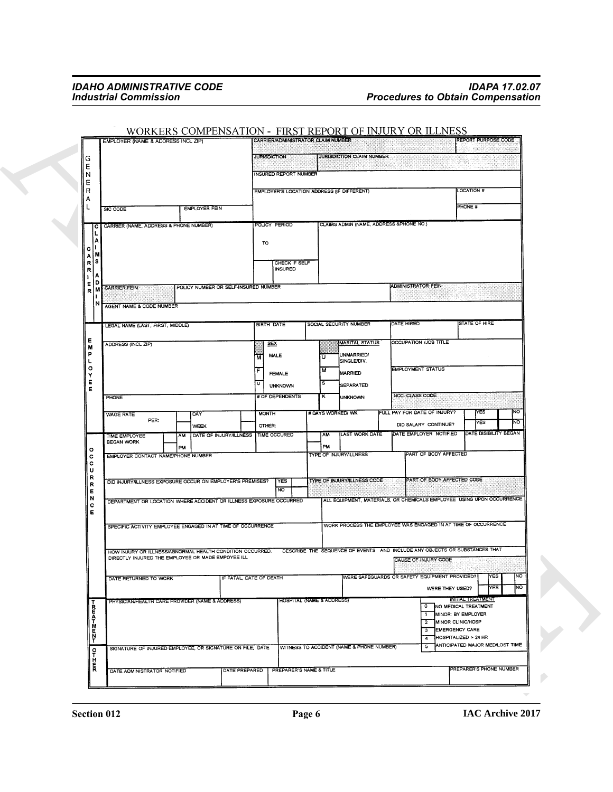|                      | EMPLOYER (NAME & ADDRESS INCL ZIP)                                                                                                   |    | WORKERS COMPENSATION - FIRST REPORT OF INJURY OR ILLNESS |    | CARRIER/ADMINISTRATOR CLAIM NUMBER         |    |                                                      |                    |                                                | REPORT PURPOSE CODE                                                   |
|----------------------|--------------------------------------------------------------------------------------------------------------------------------------|----|----------------------------------------------------------|----|--------------------------------------------|----|------------------------------------------------------|--------------------|------------------------------------------------|-----------------------------------------------------------------------|
|                      |                                                                                                                                      |    |                                                          |    |                                            |    |                                                      |                    |                                                |                                                                       |
| G<br>E               |                                                                                                                                      |    |                                                          |    | JURISDICTION                               |    | JURISDICTION CLAIM NUMBER                            |                    |                                                |                                                                       |
| N                    |                                                                                                                                      |    |                                                          |    | <b>INSURED REPORT NUMBER</b>               |    |                                                      |                    |                                                |                                                                       |
| Ε<br>$\mathsf R$     |                                                                                                                                      |    |                                                          |    | EMPLOYER'S LOCATION ADDRESS (IF DIFFERENT) |    |                                                      |                    |                                                | <b>LOCATION #</b>                                                     |
| Α<br>L               | SIC CODE                                                                                                                             |    | <b>EMPLOYER FEIN</b>                                     |    |                                            |    |                                                      |                    |                                                | PHONE #                                                               |
|                      |                                                                                                                                      |    |                                                          |    |                                            |    |                                                      |                    |                                                |                                                                       |
| с                    | CARRIER (NAME, ADDRESS & PHONE NUMBER)                                                                                               |    |                                                          |    | POLICY PERIOD                              |    | CLAIMS ADMIN (NAME, ADDRESS &PHONE NO.)              |                    |                                                |                                                                       |
| c                    |                                                                                                                                      |    |                                                          |    | TO                                         |    |                                                      |                    |                                                |                                                                       |
| $\frac{A}{R}$<br>ļS. |                                                                                                                                      |    |                                                          |    | CHECK IF SELF                              |    |                                                      |                    |                                                |                                                                       |
| R                    |                                                                                                                                      |    |                                                          |    | INSURED                                    |    |                                                      |                    |                                                |                                                                       |
| Е<br>$\mathbf R$     | <b>MECARRIER FEIN</b>                                                                                                                |    | POLICY NUMBER OR SELF-INSURED NUMBER                     |    |                                            |    |                                                      | ADMINISTRATOR FEIN |                                                |                                                                       |
|                      | AGENT NAME & CODE NUMBER                                                                                                             |    |                                                          |    |                                            |    |                                                      |                    |                                                |                                                                       |
|                      |                                                                                                                                      |    |                                                          |    |                                            |    |                                                      |                    |                                                | STATE OF HIRE                                                         |
|                      | LEGAL NAME (LAST, FIRST, MIDDLE)                                                                                                     |    |                                                          |    | BIRTH DATE                                 |    | SOCIAL SECURITY NUMBER                               | DATE HIRED         |                                                |                                                                       |
| Е<br>М               | ADDRESS (INCL ZIP)                                                                                                                   |    |                                                          |    | SEX                                        |    | <b>MARITAL STATUS</b>                                |                    | <b>OCCUPATION /JOB TITLE</b>                   |                                                                       |
| P<br>г               |                                                                                                                                      |    |                                                          | M  | <b>MALE</b>                                | णि | UNMARRIED/<br>SINGLE/DIV.                            |                    |                                                |                                                                       |
| $\mathbf{o}$<br>Y    |                                                                                                                                      |    |                                                          | F  | <b>FEMALE</b>                              | M  | MARRIED                                              |                    | <b>EMPLOYMENT STATUS</b>                       |                                                                       |
| Е<br>Е               |                                                                                                                                      |    |                                                          | Iυ | <b>UNKNOWN</b>                             | Is | SEPARATED                                            |                    |                                                |                                                                       |
|                      | PHONE                                                                                                                                |    |                                                          |    | # OF DEPENDENTS                            | κ  | <b>UNKNOWN</b>                                       | NCCI CLASS CODE    |                                                |                                                                       |
|                      | <b>WAGE RATE</b><br>PER:                                                                                                             |    | DAY                                                      |    | <b>MONTH</b>                               |    | # DAYS WORKED/ WK                                    |                    | FULL PAY FOR DATE OF INJURY?                   | NO<br>YES<br>NO.<br>YES                                               |
|                      | TIME EMPLOYEE                                                                                                                        | AM | <b>WEEK</b><br>DATE OF INJURY/ILLNESS   TIME OCCURED     |    | OTHER:                                     | AM | LAST WORK DATE                                       |                    | DID SALARY CONTINUE?<br>DATE EMPLOYER NOTIFIED | DATE DISIBILITY BEGAN                                                 |
| $\circ$              | <b>BEGAN WORK</b>                                                                                                                    | PM |                                                          |    |                                            | PM |                                                      |                    |                                                |                                                                       |
| c<br>c               | EMPLOYER CONTACT NAME/PHONE NUMBER                                                                                                   |    |                                                          |    |                                            |    | TYPE OF INJURY/ILLNESS                               |                    | PART OF BODY AFFECTED                          |                                                                       |
| U<br>R               | DID INJURY/ILLNESS EXPOSURE OCCUR ON EMPLOYER'S PREMISES?                                                                            |    |                                                          |    | YES                                        |    | TYPE OF INJURYALLNESS CODE                           |                    | PART OF BODY AFFECTED CODE                     |                                                                       |
| R<br>Е               |                                                                                                                                      |    |                                                          |    | NO                                         |    |                                                      |                    |                                                |                                                                       |
| N<br>c               | DEPARTMENT OR LOCATION WHERE ACCIDENT OR ILLNESS EXPOSURE OCCURRED                                                                   |    |                                                          |    |                                            |    |                                                      |                    |                                                | ALL EQUIPMENT, MATERIALS, OR CHEMICALS EMPLOYEE USING UPON OCCURRENCE |
| Е                    |                                                                                                                                      |    |                                                          |    |                                            |    |                                                      |                    |                                                | WORK PROCESS THE EMPLOYEE WAS ENGAGED IN AT TIME OF OCCURRENCE        |
|                      | SPECIFIC ACTIVITY EMPLOYEE ENGAGED IN AT TIME OF OCCURRENCE                                                                          |    |                                                          |    |                                            |    |                                                      |                    |                                                |                                                                       |
|                      | HOW INJURY OR ILLNESS/ABNORMAL HEALTH CONDITION OCCURRED. DESCRIBE THE SEQUENCE OF EVENTS AND INCLUDE ANY OBJECTS OR SUBSTANCES THAT |    |                                                          |    |                                            |    |                                                      |                    |                                                |                                                                       |
|                      | DIRECTLY INJURED THE EMPLOYEE OR MADE EMPOYEE ILL                                                                                    |    |                                                          |    |                                            |    |                                                      |                    | CAUSE OF INJURY CODE                           |                                                                       |
|                      | DATE RETURNED TO WORK                                                                                                                |    | IF FATAL, DATE OF DEATH                                  |    |                                            |    |                                                      |                    | WERE SAFEGUARDS OR SAFETY EQUIPMENT PROVIDED?  | YES<br>NO                                                             |
|                      |                                                                                                                                      |    |                                                          |    |                                            |    |                                                      |                    | WERE THEY USED?                                | NO<br>YES                                                             |
|                      | PHYSICIAN/HEALTH CARE PROVIDER (NAME & ADDRESS)                                                                                      |    |                                                          |    | <b>HOSPITAL (NAME &amp; ADDRESS)</b>       |    |                                                      |                    | $\circ$                                        | INITIAL TREATMENT<br>NO MEDICAL TREATMENT                             |
| Ε<br>Ā               |                                                                                                                                      |    |                                                          |    |                                            |    |                                                      |                    | 1.<br>MINOR CLINIC/HOSP<br>$\overline{2}$      | MINOR: BY EMPLOYER                                                    |
| M                    |                                                                                                                                      |    |                                                          |    |                                            |    |                                                      |                    | <b>EMERGENCY CARE</b><br>ाउ<br>$\overline{4}$  | HOSPITALIZED > 24 HR                                                  |
| $\mathbf{Q}$         | SIGNATURE OF INJURED EMPLOYEE, OR SIGNATURE ON FILE; DATE                                                                            |    |                                                          |    |                                            |    | <b>WITNESS TO ACCIDENT (NAME &amp; PHONE NUMBER)</b> |                    | 5                                              | ANTICIPATED MAJOR MED/LOST TIME                                       |
| H<br>R               |                                                                                                                                      |    |                                                          |    |                                            |    |                                                      |                    |                                                |                                                                       |
|                      | DATE ADMINISTRATOR NOTIFIED                                                                                                          |    | DATE PREPARED                                            |    | PREPARER'S NAME & TITLE                    |    |                                                      |                    |                                                | PREPARER'S PHONE NUMBER                                               |